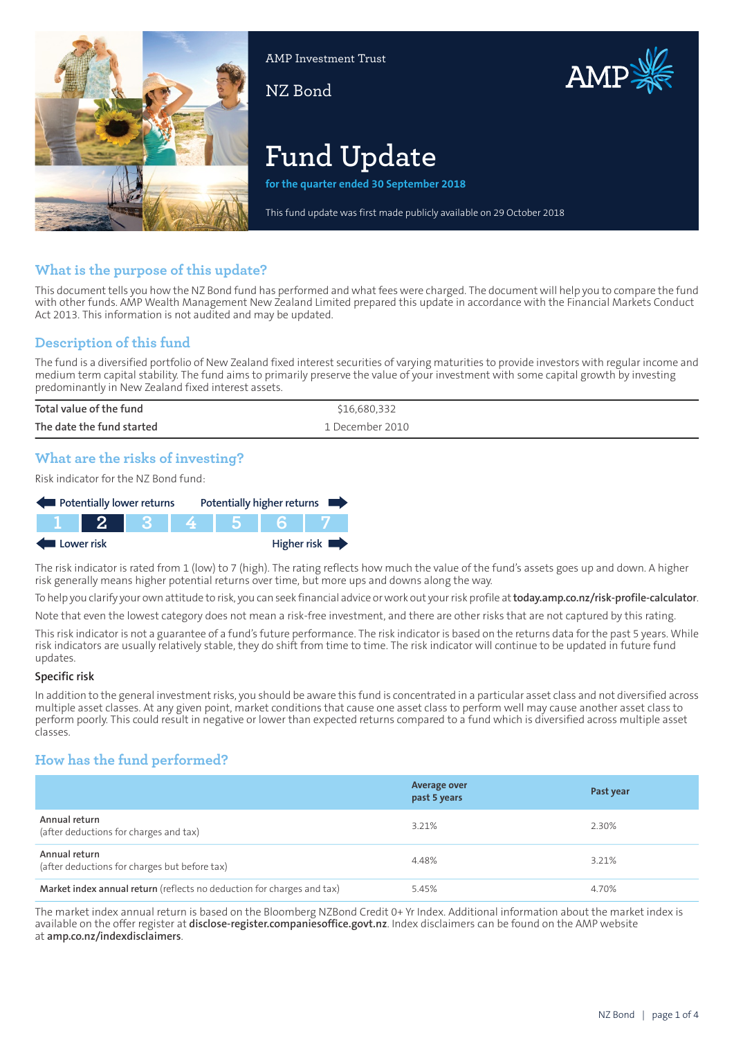

AMP Investment Trust

NZ Bond



# **Fund Update**

**for the quarter ended 30 September 2018**

This fund update was first made publicly available on 29 October 2018

# **What is the purpose of this update?**

This document tells you how the NZ Bond fund has performed and what fees were charged. The document will help you to compare the fund with other funds. AMP Wealth Management New Zealand Limited prepared this update in accordance with the Financial Markets Conduct Act 2013. This information is not audited and may be updated.

# **Description of this fund**

The fund is a diversified portfolio of New Zealand fixed interest securities of varying maturities to provide investors with regular income and medium term capital stability. The fund aims to primarily preserve the value of your investment with some capital growth by investing predominantly in New Zealand fixed interest assets.

| Total value of the fund   | \$16,680,332    |
|---------------------------|-----------------|
| The date the fund started | 1 December 2010 |

# **What are the risks of investing?**

Risk indicator for the NZ Bond fund:



The risk indicator is rated from 1 (low) to 7 (high). The rating reflects how much the value of the fund's assets goes up and down. A higher risk generally means higher potential returns over time, but more ups and downs along the way.

To help you clarify your own attitude to risk, you can seek financial advice orwork out yourrisk profile at**[today.amp.co.nz/risk-profile-calculator](http://today.amp.co.nz/risk-profile-calculator)**.

Note that even the lowest category does not mean a risk-free investment, and there are other risks that are not captured by this rating.

This risk indicator is not a guarantee of a fund's future performance. The risk indicator is based on the returns data for the past 5 years. While risk indicators are usually relatively stable, they do shift from time to time. The risk indicator will continue to be updated in future fund updates.

#### **Specific risk**

In addition to the general investmentrisks, you should be aware this fund is concentrated in a particular asset class and not diversified across multiple asset classes. At any given point, market conditions that cause one asset class to perform well may cause another asset class to perform poorly. This could result in negative or lower than expected returns compared to a fund which is diversified across multiple asset classes.

# **How has the fund performed?**

|                                                                        | <b>Average over</b><br>past 5 years | Past year |
|------------------------------------------------------------------------|-------------------------------------|-----------|
| Annual return<br>(after deductions for charges and tax)                | 3.21%                               | 2.30%     |
| Annual return<br>(after deductions for charges but before tax)         | 4.48%                               | 3.21%     |
| Market index annual return (reflects no deduction for charges and tax) | 5.45%                               | 4.70%     |

The market index annual return is based on the Bloomberg NZBond Credit 0+ Yr Index. Additional information about the market index is available on the offer register at **[disclose-register.companiesoffice.govt.nz](https://disclose-register.companiesoffice.govt.nz/)**. Index disclaimers can be found on the AMP website at **[amp.co.nz/indexdisclaimers](http://amp.co.nz/indexdisclaimers)**.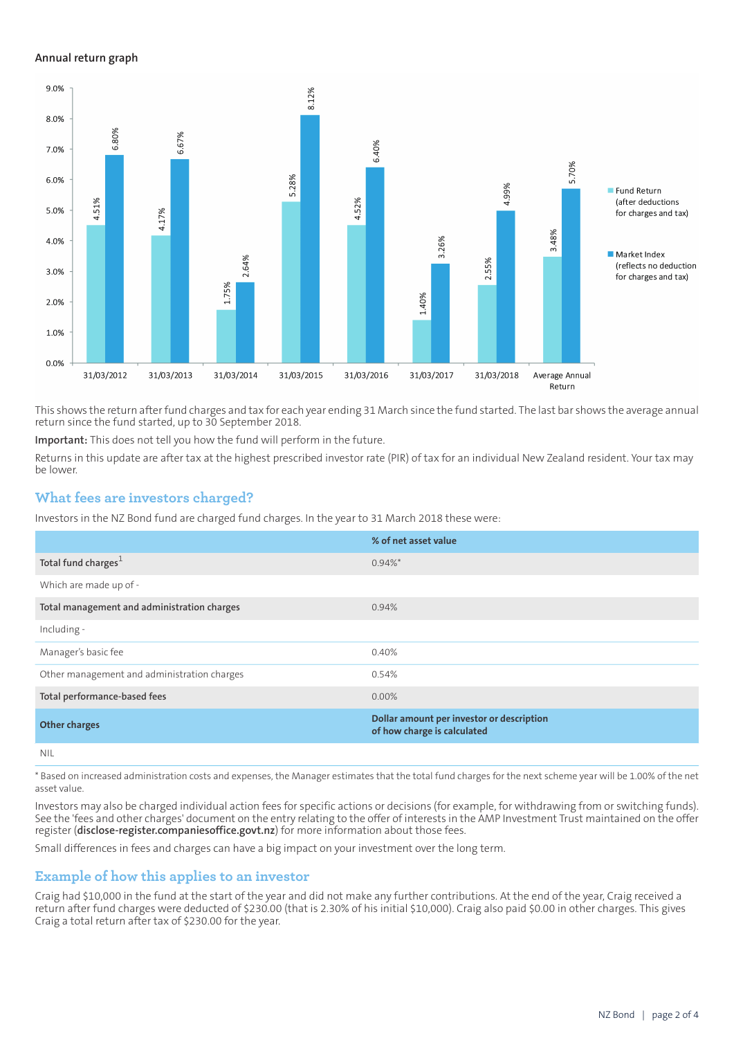#### **Annual return graph**



This shows the return afterfund charges and tax for each year ending 31 March since the fund started. The last bar shows the average annual return since the fund started, up to 30 September 2018.

**Important:** This does not tell you how the fund will perform in the future.

Returns in this update are after tax at the highest prescribed investor rate (PIR) of tax for an individual New Zealand resident. Your tax may be lower.

## **What fees are investors charged?**

Investors in the NZ Bond fund are charged fund charges. In the year to 31 March 2018 these were:

|                                             | % of net asset value                                                     |
|---------------------------------------------|--------------------------------------------------------------------------|
| Total fund charges <sup>1</sup>             | $0.94\%$ *                                                               |
| Which are made up of -                      |                                                                          |
| Total management and administration charges | 0.94%                                                                    |
| Including -                                 |                                                                          |
| Manager's basic fee                         | 0.40%                                                                    |
| Other management and administration charges | 0.54%                                                                    |
| Total performance-based fees                | $0.00\%$                                                                 |
| <b>Other charges</b>                        | Dollar amount per investor or description<br>of how charge is calculated |
| <b>NIL</b>                                  |                                                                          |

\* Based on increased administration costs and expenses, the Manager estimates that the total fund charges for the next scheme year will be 1.00% of the net asset value.

Investors may also be charged individual action fees for specific actions or decisions (for example, for withdrawing from or switching funds). See the 'fees and other charges' document on the entry relating to the offer of interests in the AMP Investment Trust maintained on the offer register (**[disclose-register.companiesoffice.govt.nz](https://disclose-register.companiesoffice.govt.nz/)**) for more information about those fees.

Small differences in fees and charges can have a big impact on your investment over the long term.

## **Example of how this applies to an investor**

Craig had \$10,000 in the fund at the start of the year and did not make any further contributions. At the end of the year, Craig received a return after fund charges were deducted of \$230.00 (that is 2.30% of his initial \$10,000). Craig also paid \$0.00 in other charges. This gives Craig a total return after tax of \$230.00 for the year.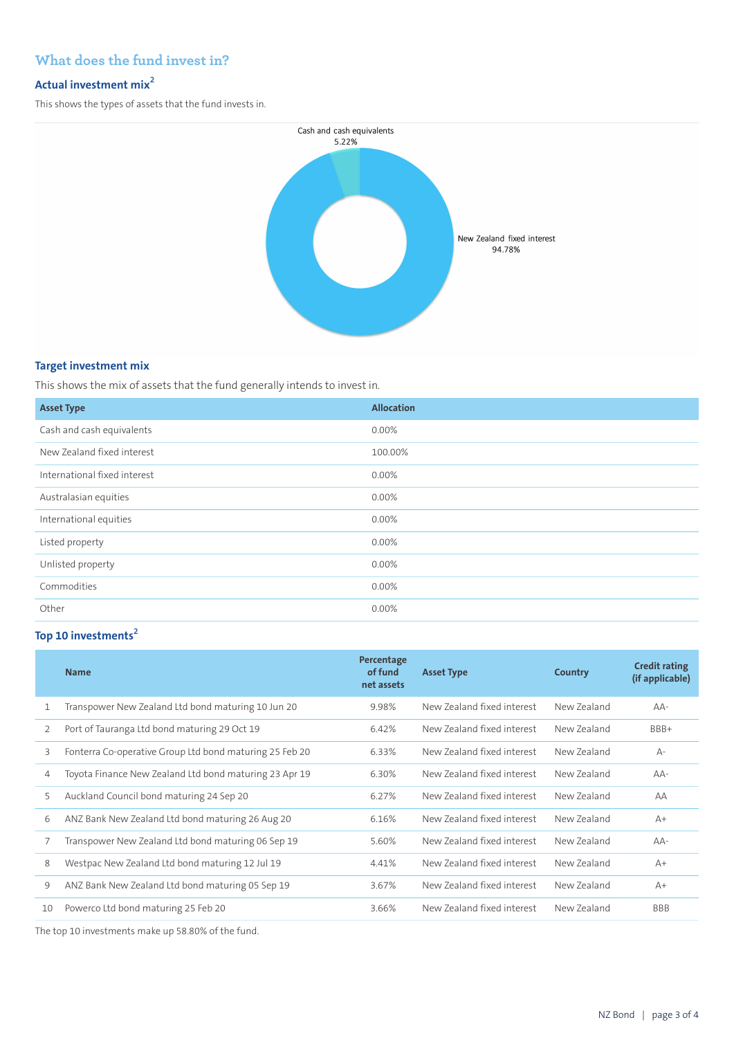# **What does the fund invest in?**

## **Actual investment mix<sup>2</sup>**

This shows the types of assets that the fund invests in.



#### **Target investment mix**

This shows the mix of assets that the fund generally intends to invest in.

| <b>Asset Type</b>            | <b>Allocation</b> |
|------------------------------|-------------------|
| Cash and cash equivalents    | 0.00%             |
| New Zealand fixed interest   | 100.00%           |
| International fixed interest | 0.00%             |
| Australasian equities        | 0.00%             |
| International equities       | $0.00\%$          |
| Listed property              | 0.00%             |
| Unlisted property            | 0.00%             |
| Commodities                  | 0.00%             |
| Other                        | 0.00%             |

# **Top 10 investments<sup>2</sup>**

|    | <b>Name</b>                                             | Percentage<br>of fund<br>net assets | <b>Asset Type</b>          | Country     | <b>Credit rating</b><br>(if applicable) |
|----|---------------------------------------------------------|-------------------------------------|----------------------------|-------------|-----------------------------------------|
| 1  | Transpower New Zealand Ltd bond maturing 10 Jun 20      | 9.98%                               | New Zealand fixed interest | New Zealand | $AA-$                                   |
| 2  | Port of Tauranga Ltd bond maturing 29 Oct 19            | 6.42%                               | New Zealand fixed interest | New Zealand | BBB+                                    |
| 3  | Fonterra Co-operative Group Ltd bond maturing 25 Feb 20 | 6.33%                               | New Zealand fixed interest | New Zealand | $A -$                                   |
| 4  | Toyota Finance New Zealand Ltd bond maturing 23 Apr 19  | 6.30%                               | New Zealand fixed interest | New Zealand | $AA-$                                   |
| 5  | Auckland Council bond maturing 24 Sep 20                | 6.27%                               | New Zealand fixed interest | New Zealand | AA                                      |
| 6  | ANZ Bank New Zealand Ltd bond maturing 26 Aug 20        | 6.16%                               | New Zealand fixed interest | New Zealand | $A+$                                    |
|    | Transpower New Zealand Ltd bond maturing 06 Sep 19      | 5.60%                               | New Zealand fixed interest | New Zealand | $AA-$                                   |
| 8  | Westpac New Zealand Ltd bond maturing 12 Jul 19         | 4.41%                               | New Zealand fixed interest | New Zealand | $A+$                                    |
| 9  | ANZ Bank New Zealand Ltd bond maturing 05 Sep 19        | 3.67%                               | New Zealand fixed interest | New Zealand | $A+$                                    |
| 10 | Powerco Ltd bond maturing 25 Feb 20                     | 3.66%                               | New Zealand fixed interest | New Zealand | <b>BBB</b>                              |

The top 10 investments make up 58.80% of the fund.